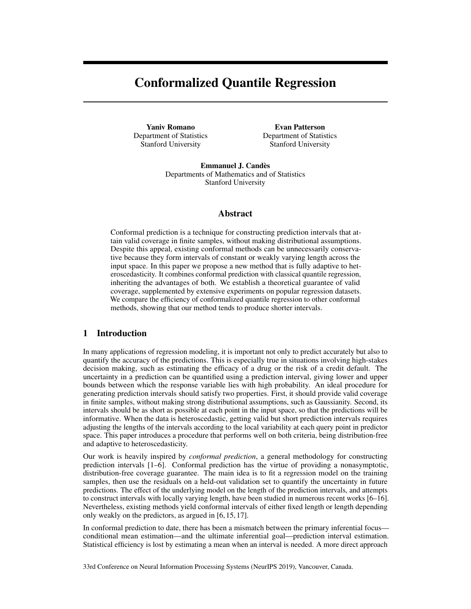# Conformalized Quantile Regression

Yaniv Romano Department of Statistics Stanford University

Evan Patterson Department of Statistics Stanford University

Emmanuel J. Candès Departments of Mathematics and of Statistics Stanford University

### Abstract

Conformal prediction is a technique for constructing prediction intervals that attain valid coverage in finite samples, without making distributional assumptions. Despite this appeal, existing conformal methods can be unnecessarily conservative because they form intervals of constant or weakly varying length across the input space. In this paper we propose a new method that is fully adaptive to heteroscedasticity. It combines conformal prediction with classical quantile regression, inheriting the advantages of both. We establish a theoretical guarantee of valid coverage, supplemented by extensive experiments on popular regression datasets. We compare the efficiency of conformalized quantile regression to other conformal methods, showing that our method tends to produce shorter intervals.

## 1 Introduction

In many applications of regression modeling, it is important not only to predict accurately but also to quantify the accuracy of the predictions. This is especially true in situations involving high-stakes decision making, such as estimating the efficacy of a drug or the risk of a credit default. The uncertainty in a prediction can be quantified using a prediction interval, giving lower and upper bounds between which the response variable lies with high probability. An ideal procedure for generating prediction intervals should satisfy two properties. First, it should provide valid coverage in finite samples, without making strong distributional assumptions, such as Gaussianity. Second, its intervals should be as short as possible at each point in the input space, so that the predictions will be informative. When the data is heteroscedastic, getting valid but short prediction intervals requires adjusting the lengths of the intervals according to the local variability at each query point in predictor space. This paper introduces a procedure that performs well on both criteria, being distribution-free and adaptive to heteroscedasticity.

Our work is heavily inspired by *conformal prediction*, a general methodology for constructing prediction intervals [1–6]. Conformal prediction has the virtue of providing a nonasymptotic, distribution-free coverage guarantee. The main idea is to fit a regression model on the training samples, then use the residuals on a held-out validation set to quantify the uncertainty in future predictions. The effect of the underlying model on the length of the prediction intervals, and attempts to construct intervals with locally varying length, have been studied in numerous recent works [6–16]. Nevertheless, existing methods yield conformal intervals of either fixed length or length depending only weakly on the predictors, as argued in [6, 15, 17].

In conformal prediction to date, there has been a mismatch between the primary inferential focus conditional mean estimation—and the ultimate inferential goal—prediction interval estimation. Statistical efficiency is lost by estimating a mean when an interval is needed. A more direct approach

33rd Conference on Neural Information Processing Systems (NeurIPS 2019), Vancouver, Canada.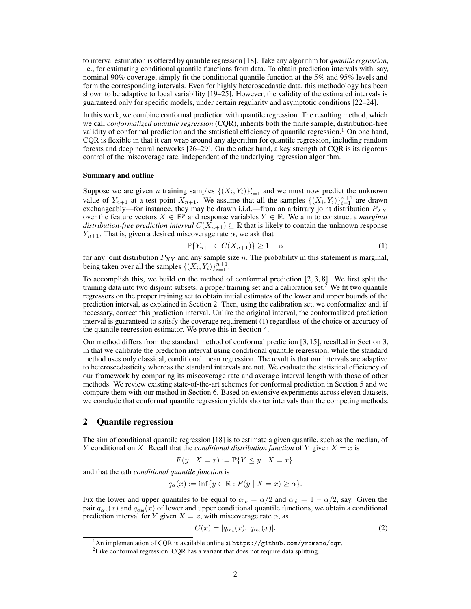to interval estimation is offered by quantile regression [18]. Take any algorithm for *quantile regression*, i.e., for estimating conditional quantile functions from data. To obtain prediction intervals with, say, nominal 90% coverage, simply fit the conditional quantile function at the 5% and 95% levels and form the corresponding intervals. Even for highly heteroscedastic data, this methodology has been shown to be adaptive to local variability [19–25]. However, the validity of the estimated intervals is guaranteed only for specific models, under certain regularity and asymptotic conditions [22–24].

In this work, we combine conformal prediction with quantile regression. The resulting method, which we call *conformalized quantile regression* (CQR), inherits both the finite sample, distribution-free validity of conformal prediction and the statistical efficiency of quantile regression.<sup>1</sup> On one hand, CQR is flexible in that it can wrap around any algorithm for quantile regression, including random forests and deep neural networks [26–29]. On the other hand, a key strength of CQR is its rigorous control of the miscoverage rate, independent of the underlying regression algorithm.

#### Summary and outline

Suppose we are given *n* training samples  $\{(X_i, Y_i)\}_{i=1}^n$  and we must now predict the unknown value of  $Y_{n+1}$  at a test point  $X_{n+1}$ . We assume that all the samples  $\{(X_i, Y_i)\}_{i=1}^{n+1}$  are drawn exchangeably—for instance, they may be drawn i.i.d.—from an arbitrary joint distribution  $P_{XY}$ over the feature vectors  $X \in \mathbb{R}^p$  and response variables  $Y \in \mathbb{R}$ . We aim to construct a *marginal distribution-free prediction interval*  $C(X_{n+1}) \subseteq \mathbb{R}$  that is likely to contain the unknown response  $Y_{n+1}$ . That is, given a desired miscoverage rate  $\alpha$ , we ask that

$$
\mathbb{P}\{Y_{n+1}\in C(X_{n+1})\}\geq 1-\alpha\tag{1}
$$

for any joint distribution  $P_{XY}$  and any sample size n. The probability in this statement is marginal, being taken over all the samples  $\{(X_i, Y_i)\}_{i=1}^{n+1}$ .

To accomplish this, we build on the method of conformal prediction [2, 3, 8]. We first split the training data into two disjoint subsets, a proper training set and a calibration set.<sup>2</sup> We fit two quantile regressors on the proper training set to obtain initial estimates of the lower and upper bounds of the prediction interval, as explained in Section 2. Then, using the calibration set, we conformalize and, if necessary, correct this prediction interval. Unlike the original interval, the conformalized prediction interval is guaranteed to satisfy the coverage requirement (1) regardless of the choice or accuracy of the quantile regression estimator. We prove this in Section 4.

Our method differs from the standard method of conformal prediction [3, 15], recalled in Section 3, in that we calibrate the prediction interval using conditional quantile regression, while the standard method uses only classical, conditional mean regression. The result is that our intervals are adaptive to heteroscedasticity whereas the standard intervals are not. We evaluate the statistical efficiency of our framework by comparing its miscoverage rate and average interval length with those of other methods. We review existing state-of-the-art schemes for conformal prediction in Section 5 and we compare them with our method in Section 6. Based on extensive experiments across eleven datasets, we conclude that conformal quantile regression yields shorter intervals than the competing methods.

### 2 Quantile regression

The aim of conditional quantile regression [18] is to estimate a given quantile, such as the median, of Y conditional on X. Recall that the *conditional distribution function* of Y given  $X = x$  is

$$
F(y \mid X = x) := \mathbb{P}\{Y \le y \mid X = x\},\
$$

and that the αth *conditional quantile function* is

$$
q_{\alpha}(x) := \inf \{ y \in \mathbb{R} : F(y \mid X = x) \ge \alpha \}.
$$

Fix the lower and upper quantiles to be equal to  $\alpha_{\text{lo}} = \alpha/2$  and  $\alpha_{\text{hi}} = 1 - \alpha/2$ , say. Given the pair  $q_{\alpha_{\rm lo}}(x)$  and  $q_{\alpha_{\rm hi}}(x)$  of lower and upper conditional quantile functions, we obtain a conditional prediction interval for Y given  $X = x$ , with miscoverage rate  $\alpha$ , as

$$
C(x) = [q_{\alpha_{\text{lo}}}(x), q_{\alpha_{\text{hi}}}(x)]. \tag{2}
$$

 $^1$ An implementation of CQR is available online at <https://github.com/yromano/cqr>.

 $2$ Like conformal regression, CQR has a variant that does not require data splitting.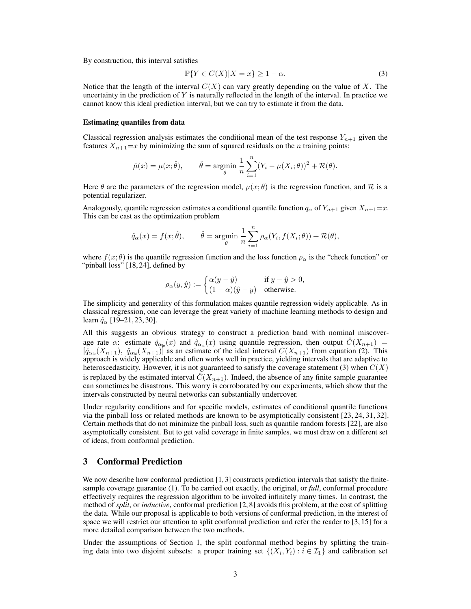By construction, this interval satisfies

$$
\mathbb{P}\{Y \in C(X) | X = x\} \ge 1 - \alpha. \tag{3}
$$

Notice that the length of the interval  $C(X)$  can vary greatly depending on the value of X. The uncertainty in the prediction of  $Y$  is naturally reflected in the length of the interval. In practice we cannot know this ideal prediction interval, but we can try to estimate it from the data.

### Estimating quantiles from data

Classical regression analysis estimates the conditional mean of the test response  $Y_{n+1}$  given the features  $X_{n+1}=x$  by minimizing the sum of squared residuals on the n training points:

$$
\hat{\mu}(x) = \mu(x; \hat{\theta}), \qquad \hat{\theta} = \underset{\theta}{\text{argmin}} \frac{1}{n} \sum_{i=1}^{n} (Y_i - \mu(X_i; \theta))^2 + \mathcal{R}(\theta).
$$

Here  $\theta$  are the parameters of the regression model,  $\mu(x; \theta)$  is the regression function, and R is a potential regularizer.

Analogously, quantile regression estimates a conditional quantile function  $q_\alpha$  of  $Y_{n+1}$  given  $X_{n+1}=x$ . This can be cast as the optimization problem

$$
\hat{q}_{\alpha}(x) = f(x; \hat{\theta}), \qquad \hat{\theta} = \underset{\theta}{\text{argmin}} \frac{1}{n} \sum_{i=1}^{n} \rho_{\alpha}(Y_i, f(X_i; \theta)) + \mathcal{R}(\theta),
$$

where  $f(x; \theta)$  is the quantile regression function and the loss function  $\rho_{\alpha}$  is the "check function" or "pinball loss" [18, 24], defined by

$$
\rho_{\alpha}(y,\hat{y}) := \begin{cases} \alpha(y-\hat{y}) & \text{if } y-\hat{y} > 0, \\ (1-\alpha)(\hat{y}-y) & \text{otherwise.} \end{cases}
$$

The simplicity and generality of this formulation makes quantile regression widely applicable. As in classical regression, one can leverage the great variety of machine learning methods to design and learn  $\hat{q}_{\alpha}$  [19–21, 23, 30].

All this suggests an obvious strategy to construct a prediction band with nominal miscoverage rate  $\alpha$ : estimate  $\hat{q}_{\alpha_{\rm lo}}(x)$  and  $\hat{q}_{\alpha_{\rm hi}}(x)$  using quantile regression, then output  $\hat{C}(X_{n+1}) =$  $[\hat{q}_{\alpha_{\rm lo}}(X_{n+1}), \hat{q}_{\alpha_{\rm hi}}(X_{n+1})]$  as an estimate of the ideal interval  $C(X_{n+1})$  from equation (2). This approach is widely applicable and often works well in practice, yielding intervals that are adaptive to heteroscedasticity. However, it is not guaranteed to satisfy the coverage statement (3) when  $C(X)$ is replaced by the estimated interval  $C(X_{n+1})$ . Indeed, the absence of any finite sample guarantee can sometimes be disastrous. This worry is corroborated by our experiments, which show that the intervals constructed by neural networks can substantially undercover.

Under regularity conditions and for specific models, estimates of conditional quantile functions via the pinball loss or related methods are known to be asymptotically consistent [23, 24, 31, 32]. Certain methods that do not minimize the pinball loss, such as quantile random forests [22], are also asymptotically consistent. But to get valid coverage in finite samples, we must draw on a different set of ideas, from conformal prediction.

### 3 Conformal Prediction

We now describe how conformal prediction  $[1, 3]$  constructs prediction intervals that satisfy the finitesample coverage guarantee (1). To be carried out exactly, the original, or *full*, conformal procedure effectively requires the regression algorithm to be invoked infinitely many times. In contrast, the method of *split*, or *inductive*, conformal prediction [2, 8] avoids this problem, at the cost of splitting the data. While our proposal is applicable to both versions of conformal prediction, in the interest of space we will restrict our attention to split conformal prediction and refer the reader to [3, 15] for a more detailed comparison between the two methods.

Under the assumptions of Section 1, the split conformal method begins by splitting the training data into two disjoint subsets: a proper training set  $\{(X_i, Y_i) : i \in \mathcal{I}_1\}$  and calibration set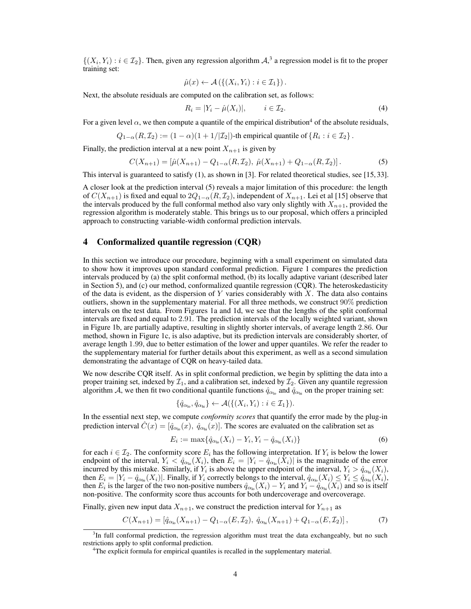$\{(X_i, Y_i) : i \in \mathcal{I}_2\}$ . Then, given any regression algorithm  $\mathcal{A},^3$  a regression model is fit to the proper training set:

$$
\hat{\mu}(x) \leftarrow \mathcal{A}\left(\{(X_i, Y_i) : i \in \mathcal{I}_1\}\right).
$$

Next, the absolute residuals are computed on the calibration set, as follows:

$$
R_i = |Y_i - \hat{\mu}(X_i)|, \qquad i \in \mathcal{I}_2. \tag{4}
$$

For a given level  $\alpha$ , we then compute a quantile of the empirical distribution<sup>4</sup> of the absolute residuals,

$$
Q_{1-\alpha}(R,\mathcal{I}_2):=(1-\alpha)(1+1/|\mathcal{I}_2|)
$$
-th empirical quantile of  $\{R_i : i \in \mathcal{I}_2\}$ .

Finally, the prediction interval at a new point  $X_{n+1}$  is given by

$$
C(X_{n+1}) = [\hat{\mu}(X_{n+1}) - Q_{1-\alpha}(R, \mathcal{I}_2), \ \hat{\mu}(X_{n+1}) + Q_{1-\alpha}(R, \mathcal{I}_2)].
$$
\n(5)

This interval is guaranteed to satisfy (1), as shown in [3]. For related theoretical studies, see [15, 33].

A closer look at the prediction interval (5) reveals a major limitation of this procedure: the length of  $C(X_{n+1})$  is fixed and equal to  $2Q_{1-\alpha}(R,\mathcal{I}_2)$ , independent of  $X_{n+1}$ . Lei et al [15] observe that the intervals produced by the full conformal method also vary only slightly with  $X_{n+1}$ , provided the regression algorithm is moderately stable. This brings us to our proposal, which offers a principled approach to constructing variable-width conformal prediction intervals.

#### 4 Conformalized quantile regression (CQR)

In this section we introduce our procedure, beginning with a small experiment on simulated data to show how it improves upon standard conformal prediction. Figure 1 compares the prediction intervals produced by (a) the split conformal method, (b) its locally adaptive variant (described later in Section 5), and (c) our method, conformalized quantile regression (CQR). The heteroskedasticity of the data is evident, as the dispersion of Y varies considerably with  $X$ . The data also contains outliers, shown in the supplementary material. For all three methods, we construct 90% prediction intervals on the test data. From Figures 1a and 1d, we see that the lengths of the split conformal intervals are fixed and equal to 2.91. The prediction intervals of the locally weighted variant, shown in Figure 1b, are partially adaptive, resulting in slightly shorter intervals, of average length 2.86. Our method, shown in Figure 1c, is also adaptive, but its prediction intervals are considerably shorter, of average length 1.99, due to better estimation of the lower and upper quantiles. We refer the reader to the supplementary material for further details about this experiment, as well as a second simulation demonstrating the advantage of CQR on heavy-tailed data.

We now describe CQR itself. As in split conformal prediction, we begin by splitting the data into a proper training set, indexed by  $\mathcal{I}_1$ , and a calibration set, indexed by  $\mathcal{I}_2$ . Given any quantile regression algorithm A, we then fit two conditional quantile functions  $\hat{q}_{\alpha_{\text{lo}}}$  and  $\hat{q}_{\alpha_{\text{hi}}}$  on the proper training set:

$$
\{\hat{q}_{\alpha_{\text{lo}}}, \hat{q}_{\alpha_{\text{hi}}}\} \leftarrow \mathcal{A}(\{(X_i, Y_i) : i \in \mathcal{I}_1\}).
$$

In the essential next step, we compute *conformity scores* that quantify the error made by the plug-in prediction interval  $\hat{C}(x) = [\hat{q}_{\alpha_{\text{lo}}}(x), \hat{q}_{\alpha_{\text{hi}}}(x)]$ . The scores are evaluated on the calibration set as

$$
E_i := \max\{\hat{q}_{\alpha_{\text{lo}}}(X_i) - Y_i, Y_i - \hat{q}_{\alpha_{\text{hi}}}(X_i)\}\
$$
\n(6)

for each  $i \in \mathcal{I}_2$ . The conformity score  $E_i$  has the following interpretation. If  $Y_i$  is below the lower endpoint of the interval,  $Y_i < \hat{q}_{\alpha_{lo}}(X_i)$ , then  $E_i = |Y_i - \hat{q}_{\alpha_{lo}}(X_i)|$  is the magnitude of the error incurred by this mistake. Similarly, if  $Y_i$  is above the upper endpoint of the interval,  $Y_i > \hat{q}_{\alpha_{hi}}(X_i)$ , then  $E_i = |Y_i - \hat{q}_{\alpha_{hi}}(X_i)|$ . Finally, if  $Y_i$  correctly belongs to the interval,  $\hat{q}_{\alpha_{lo}}(X_i) \le Y_i \le \hat{q}_{\alpha_{hi}}(X_i)$ , then  $E_i$  is the larger of the two non-positive numbers  $\hat{q}_{\alpha_{\text{lo}}}(X_i) - Y_i$  and  $Y_i - \hat{q}_{\alpha_{\text{hi}}}(X_i)$  and so is itself non-positive. The conformity score thus accounts for both undercoverage and overcoverage.

Finally, given new input data  $X_{n+1}$ , we construct the prediction interval for  $Y_{n+1}$  as

$$
C(X_{n+1}) = \left[\hat{q}_{\alpha_{10}}(X_{n+1}) - Q_{1-\alpha}(E, \mathcal{I}_2), \ \hat{q}_{\alpha_{\text{hi}}}(X_{n+1}) + Q_{1-\alpha}(E, \mathcal{I}_2)\right],\tag{7}
$$

<sup>&</sup>lt;sup>3</sup>In full conformal prediction, the regression algorithm must treat the data exchangeably, but no such restrictions apply to split conformal prediction.

<sup>&</sup>lt;sup>4</sup>The explicit formula for empirical quantiles is recalled in the supplementary material.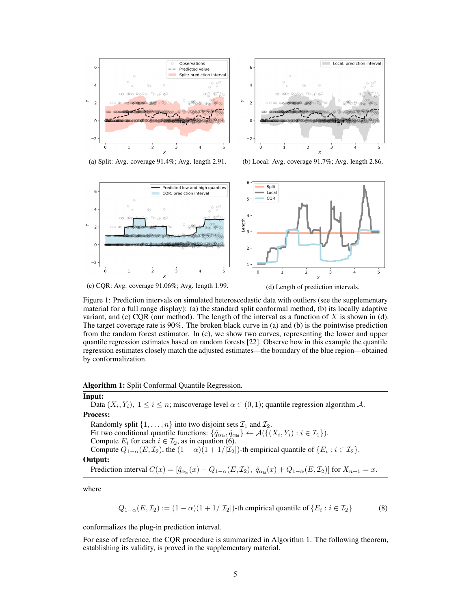



(a) Split: Avg. coverage 91.4%; Avg. length 2.91. (b) Local: Avg. coverage 91.7%; Avg. length 2.86.



(c) CQR: Avg. coverage 91.06%; Avg. length 1.99. (d) Length of prediction intervals.

Figure 1: Prediction intervals on simulated heteroscedastic data with outliers (see the supplementary material for a full range display): (a) the standard split conformal method, (b) its locally adaptive variant, and (c) CQR (our method). The length of the interval as a function of  $X$  is shown in (d). The target coverage rate is 90%. The broken black curve in (a) and (b) is the pointwise prediction from the random forest estimator. In (c), we show two curves, representing the lower and upper quantile regression estimates based on random forests [22]. Observe how in this example the quantile regression estimates closely match the adjusted estimates—the boundary of the blue region—obtained by conformalization.

#### Algorithm 1: Split Conformal Quantile Regression.

#### Input:

Data  $(X_i, Y_i)$ ,  $1 \le i \le n$ ; miscoverage level  $\alpha \in (0,1)$ ; quantile regression algorithm A. Process:

Randomly split  $\{1, \ldots, n\}$  into two disjoint sets  $\mathcal{I}_1$  and  $\mathcal{I}_2$ . Fit two conditional quantile functions:  $\{\hat{q}_{\alpha_{\text{lo}}}, \hat{q}_{\alpha_{\text{hi}}}\}\leftarrow \mathcal{A}(\{(X_i, Y_i) : i \in \mathcal{I}_1\}).$ Compute  $E_i$  for each  $i \in \mathcal{I}_2$ , as in equation (6). Compute  $Q_{1-\alpha}(E, \mathcal{I}_2)$ , the  $(1-\alpha)(1+1/|\mathcal{I}_2|)$ -th empirical quantile of  $\{E_i : i \in \mathcal{I}_2\}$ . Output: Prediction interval  $C(x) = [\hat{q}_{\alpha_{\text{lo}}}(x) - Q_{1-\alpha}(E, \mathcal{I}_2), \ \hat{q}_{\alpha_{\text{hi}}}(x) + Q_{1-\alpha}(E, \mathcal{I}_2)]$  for  $X_{n+1} = x$ .

where

$$
Q_{1-\alpha}(E, \mathcal{I}_2) := (1-\alpha)(1+1/|\mathcal{I}_2|)
$$
-th empirical quantile of  $\{E_i : i \in \mathcal{I}_2\}$  (8)

conformalizes the plug-in prediction interval.

For ease of reference, the CQR procedure is summarized in Algorithm 1. The following theorem, establishing its validity, is proved in the supplementary material.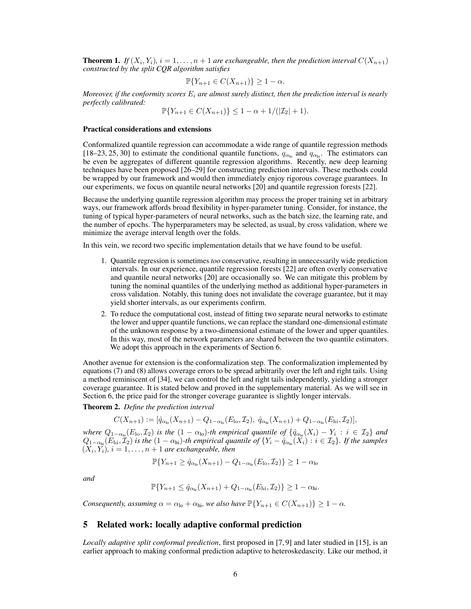**Theorem 1.** If  $(X_i, Y_i)$ ,  $i = 1, \ldots, n + 1$  are exchangeable, then the prediction interval  $C(X_{n+1})$ *constructed by the split CQR algorithm satisfies*

$$
\mathbb{P}\{Y_{n+1}\in C(X_{n+1})\}\geq 1-\alpha.
$$

*Moreover, if the conformity scores*  $E_i$  *are almost surely distinct, then the prediction interval is nearly perfectly calibrated:*

$$
\mathbb{P}\{Y_{n+1} \in C(X_{n+1})\} \le 1 - \alpha + 1/(|\mathcal{I}_2| + 1).
$$

#### Practical considerations and extensions

Conformalized quantile regression can accommodate a wide range of quantile regression methods [18–23, 25, 30] to estimate the conditional quantile functions,  $q_{\alpha_{lo}}$  and  $q_{\alpha_{hi}}$ . The estimators can be even be aggregates of different quantile regression algorithms. Recently, new deep learning techniques have been proposed [26–29] for constructing prediction intervals. These methods could be wrapped by our framework and would then immediately enjoy rigorous coverage guarantees. In our experiments, we focus on quantile neural networks [20] and quantile regression forests [22].

Because the underlying quantile regression algorithm may process the proper training set in arbitrary ways, our framework affords broad flexibility in hyper-parameter tuning. Consider, for instance, the tuning of typical hyper-parameters of neural networks, such as the batch size, the learning rate, and the number of epochs. The hyperparameters may be selected, as usual, by cross validation, where we minimize the average interval length over the folds.

In this vein, we record two specific implementation details that we have found to be useful.

- 1. Quantile regression is sometimes *too* conservative, resulting in unnecessarily wide prediction intervals. In our experience, quantile regression forests [22] are often overly conservative and quantile neural networks [20] are occasionally so. We can mitigate this problem by tuning the nominal quantiles of the underlying method as additional hyper-parameters in cross validation. Notably, this tuning does not invalidate the coverage guarantee, but it may yield shorter intervals, as our experiments confirm.
- 2. To reduce the computational cost, instead of fitting two separate neural networks to estimate the lower and upper quantile functions, we can replace the standard one-dimensional estimate of the unknown response by a two-dimensional estimate of the lower and upper quantiles. In this way, most of the network parameters are shared between the two quantile estimators. We adopt this approach in the experiments of Section 6.

Another avenue for extension is the conformalization step. The conformalization implemented by equations (7) and (8) allows coverage errors to be spread arbitrarily over the left and right tails. Using a method reminiscent of [34], we can control the left and right tails independently, yielding a stronger coverage guarantee. It is stated below and proved in the supplementary material. As we will see in Section 6, the price paid for the stronger coverage guarantee is slightly longer intervals.

Theorem 2. *Define the prediction interval*

$$
C(X_{n+1}) := [\hat{q}_{\alpha_{\text{lo}}}(X_{n+1}) - Q_{1-\alpha_{\text{lo}}}(E_{\text{lo}}, \mathcal{I}_2), \ \hat{q}_{\alpha_{\text{hi}}}(X_{n+1}) + Q_{1-\alpha_{\text{hi}}}(E_{\text{hi}}, \mathcal{I}_2)],
$$

*where*  $Q_{1-\alpha_0}(E_{\text{lo}}, \mathcal{I}_2)$  *is the*  $(1-\alpha_{\text{lo}})$ -th empirical quantile of  $\{\hat{q}_{\alpha_{\text{lo}}}(X_i) - Y_i : i \in \mathcal{I}_2\}$  and  $Q_{1-\alpha_{hi}}(E_{hi},\mathcal{I}_2)$  *is the*  $(1-\alpha_{hi})$ -th empirical quantile of  $\{Y_i - \hat{q}_{\alpha_{hi}}(X_i) : i \in \mathcal{I}_2\}$ . If the samples  $(X_i, Y_i)$ ,  $i = 1, \ldots, n + 1$  are exchangeable, then

$$
\mathbb{P}\{Y_{n+1} \ge \hat{q}_{\alpha_{\text{lo}}}(X_{n+1}) - Q_{1-\alpha_{\text{lo}}}(E_{\text{lo}}, \mathcal{I}_2)\} \ge 1 - \alpha_{\text{lo}}
$$

*and*

$$
\mathbb{P}\{Y_{n+1}\leq \hat{q}_{\alpha_{\text{hi}}}(X_{n+1})+Q_{1-\alpha_{\text{hi}}}(E_{\text{hi}},\mathcal{I}_2)\}\geq 1-\alpha_{\text{hi}}.
$$

*Consequently, assuming*  $\alpha = \alpha_{\text{lo}} + \alpha_{\text{hi}}$ *, we also have*  $\mathbb{P}\{Y_{n+1} \in C(X_{n+1})\} \geq 1 - \alpha$ *.* 

# 5 Related work: locally adaptive conformal prediction

*Locally adaptive split conformal prediction*, first proposed in [7, 9] and later studied in [15], is an earlier approach to making conformal prediction adaptive to heteroskedascity. Like our method, it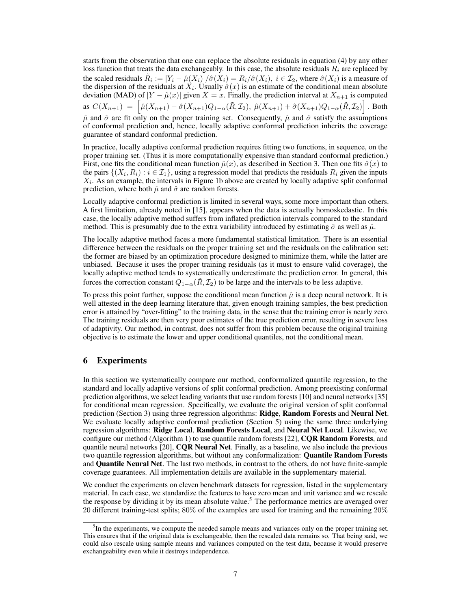starts from the observation that one can replace the absolute residuals in equation (4) by any other loss function that treats the data exchangeably. In this case, the absolute residuals  $R_i$  are replaced by the scaled residuals  $\tilde{R}_i := |Y_i - \hat{\mu}(X_i)| / \hat{\sigma}(X_i) = R_i / \hat{\sigma}(X_i)$ ,  $i \in \mathcal{I}_2$ , where  $\hat{\sigma}(X_i)$  is a measure of the dispersion of the residuals at  $X_i$ . Usually  $\hat{\sigma}(x)$  is an estimate of the conditional mean absolute deviation (MAD) of  $|Y - \hat{\mu}(x)|$  given  $X = x$ . Finally, the prediction interval at  $X_{n+1}$  is computed as  $C(X_{n+1}) = \left[ \hat{\mu}(X_{n+1}) - \hat{\sigma}(X_{n+1}) Q_{1-\alpha}(\tilde{R}, \mathcal{I}_2), \ \hat{\mu}(X_{n+1}) + \hat{\sigma}(X_{n+1}) Q_{1-\alpha}(\tilde{R}, \mathcal{I}_2) \right]$ . Both  $\hat{\mu}$  and  $\hat{\sigma}$  are fit only on the proper training set. Consequently,  $\hat{\mu}$  and  $\hat{\sigma}$  satisfy the assumptions of conformal prediction and, hence, locally adaptive conformal prediction inherits the coverage guarantee of standard conformal prediction.

In practice, locally adaptive conformal prediction requires fitting two functions, in sequence, on the proper training set. (Thus it is more computationally expensive than standard conformal prediction.) First, one fits the conditional mean function  $\hat{\mu}(x)$ , as described in Section 3. Then one fits  $\hat{\sigma}(x)$  to the pairs  $\{(X_i, R_i) : i \in \mathcal{I}_1\}$ , using a regression model that predicts the residuals  $R_i$  given the inputs  $X_i$ . As an example, the intervals in Figure 1b above are created by locally adaptive split conformal prediction, where both  $\hat{\mu}$  and  $\hat{\sigma}$  are random forests.

Locally adaptive conformal prediction is limited in several ways, some more important than others. A first limitation, already noted in [15], appears when the data is actually homoskedastic. In this case, the locally adaptive method suffers from inflated prediction intervals compared to the standard method. This is presumably due to the extra variability introduced by estimating  $\hat{\sigma}$  as well as  $\hat{\mu}$ .

The locally adaptive method faces a more fundamental statistical limitation. There is an essential difference between the residuals on the proper training set and the residuals on the calibration set: the former are biased by an optimization procedure designed to minimize them, while the latter are unbiased. Because it uses the proper training residuals (as it must to ensure valid coverage), the locally adaptive method tends to systematically underestimate the prediction error. In general, this forces the correction constant  $Q_{1-\alpha}(\tilde{R}, \mathcal{I}_2)$  to be large and the intervals to be less adaptive.

To press this point further, suppose the conditional mean function  $\hat{\mu}$  is a deep neural network. It is well attested in the deep learning literature that, given enough training samples, the best prediction error is attained by "over-fitting" to the training data, in the sense that the training error is nearly zero. The training residuals are then very poor estimates of the true prediction error, resulting in severe loss of adaptivity. Our method, in contrast, does not suffer from this problem because the original training objective is to estimate the lower and upper conditional quantiles, not the conditional mean.

## 6 Experiments

In this section we systematically compare our method, conformalized quantile regression, to the standard and locally adaptive versions of split conformal prediction. Among preexisting conformal prediction algorithms, we select leading variants that use random forests [10] and neural networks [35] for conditional mean regression. Specifically, we evaluate the original version of split conformal prediction (Section 3) using three regression algorithms: Ridge, Random Forests and Neural Net. We evaluate locally adaptive conformal prediction (Section 5) using the same three underlying regression algorithms: Ridge Local, Random Forests Local, and Neural Net Local. Likewise, we configure our method (Algorithm 1) to use quantile random forests  $[22]$ , **CQR Random Forests**, and quantile neural networks  $[20]$ , **CQR Neural Net**. Finally, as a baseline, we also include the previous two quantile regression algorithms, but without any conformalization: Quantile Random Forests and Quantile Neural Net. The last two methods, in contrast to the others, do not have finite-sample coverage guarantees. All implementation details are available in the supplementary material.

We conduct the experiments on eleven benchmark datasets for regression, listed in the supplementary material. In each case, we standardize the features to have zero mean and unit variance and we rescale the response by dividing it by its mean absolute value.<sup>5</sup> The performance metrics are averaged over 20 different training-test splits; 80% of the examples are used for training and the remaining 20%

<sup>&</sup>lt;sup>5</sup>In the experiments, we compute the needed sample means and variances only on the proper training set. This ensures that if the original data is exchangeable, then the rescaled data remains so. That being said, we could also rescale using sample means and variances computed on the test data, because it would preserve exchangeability even while it destroys independence.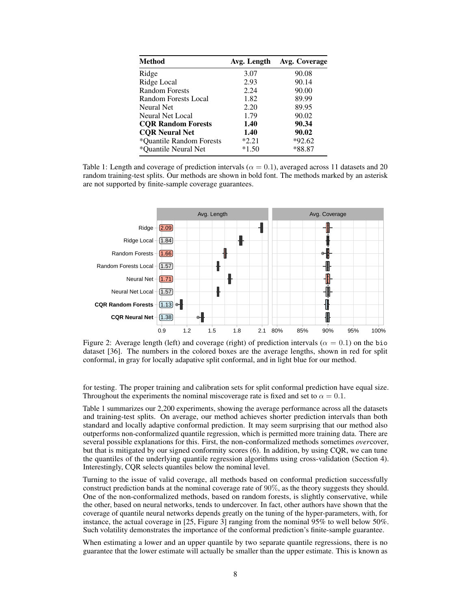| <b>Method</b>             | Avg. Length | Avg. Coverage |
|---------------------------|-------------|---------------|
| Ridge                     | 3.07        | 90.08         |
| Ridge Local               | 2.93        | 90.14         |
| <b>Random Forests</b>     | 2.24        | 90.00         |
| Random Forests Local      | 1.82        | 89.99         |
| Neural Net                | 2.20        | 89.95         |
| Neural Net Local          | 1.79        | 90.02         |
| <b>COR Random Forests</b> | 1.40        | 90.34         |
| <b>COR Neural Net</b>     | 1.40        | 90.02         |
| *Ouantile Random Forests  | $*2.21$     | $*92.62$      |
| *Ouantile Neural Net      | $*1.50$     | *88.87        |

Table 1: Length and coverage of prediction intervals ( $\alpha = 0.1$ ), averaged across 11 datasets and 20 random training-test splits. Our methods are shown in bold font. The methods marked by an asterisk are not supported by finite-sample coverage guarantees.



Figure 2: Average length (left) and coverage (right) of prediction intervals ( $\alpha = 0.1$ ) on the bio dataset [36]. The numbers in the colored boxes are the average lengths, shown in red for split conformal, in gray for locally adapative split conformal, and in light blue for our method.

for testing. The proper training and calibration sets for split conformal prediction have equal size. Throughout the experiments the nominal miscoverage rate is fixed and set to  $\alpha = 0.1$ .

Table 1 summarizes our 2,200 experiments, showing the average performance across all the datasets and training-test splits. On average, our method achieves shorter prediction intervals than both standard and locally adaptive conformal prediction. It may seem surprising that our method also outperforms non-conformalized quantile regression, which is permitted more training data. There are several possible explanations for this. First, the non-conformalized methods sometimes *over*cover, but that is mitigated by our signed conformity scores (6). In addition, by using CQR, we can tune the quantiles of the underlying quantile regression algorithms using cross-validation (Section 4). Interestingly, CQR selects quantiles below the nominal level.

Turning to the issue of valid coverage, all methods based on conformal prediction successfully construct prediction bands at the nominal coverage rate of 90%, as the theory suggests they should. One of the non-conformalized methods, based on random forests, is slightly conservative, while the other, based on neural networks, tends to undercover. In fact, other authors have shown that the coverage of quantile neural networks depends greatly on the tuning of the hyper-parameters, with, for instance, the actual coverage in [25, Figure 3] ranging from the nominal 95% to well below 50%. Such volatility demonstrates the importance of the conformal prediction's finite-sample guarantee.

When estimating a lower and an upper quantile by two separate quantile regressions, there is no guarantee that the lower estimate will actually be smaller than the upper estimate. This is known as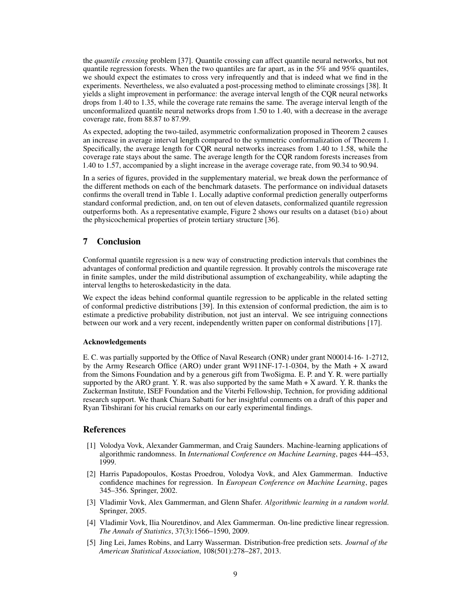the *quantile crossing* problem [37]. Quantile crossing can affect quantile neural networks, but not quantile regression forests. When the two quantiles are far apart, as in the  $5\%$  and  $95\%$  quantiles, we should expect the estimates to cross very infrequently and that is indeed what we find in the experiments. Nevertheless, we also evaluated a post-processing method to eliminate crossings [38]. It yields a slight improvement in performance: the average interval length of the CQR neural networks drops from 1.40 to 1.35, while the coverage rate remains the same. The average interval length of the unconformalized quantile neural networks drops from 1.50 to 1.40, with a decrease in the average coverage rate, from 88.87 to 87.99.

As expected, adopting the two-tailed, asymmetric conformalization proposed in Theorem 2 causes an increase in average interval length compared to the symmetric conformalization of Theorem 1. Specifically, the average length for CQR neural networks increases from 1.40 to 1.58, while the coverage rate stays about the same. The average length for the CQR random forests increases from 1.40 to 1.57, accompanied by a slight increase in the average coverage rate, from 90.34 to 90.94.

In a series of figures, provided in the supplementary material, we break down the performance of the different methods on each of the benchmark datasets. The performance on individual datasets confirms the overall trend in Table 1. Locally adaptive conformal prediction generally outperforms standard conformal prediction, and, on ten out of eleven datasets, conformalized quantile regression outperforms both. As a representative example, Figure 2 shows our results on a dataset (bio) about the physicochemical properties of protein tertiary structure [36].

## 7 Conclusion

Conformal quantile regression is a new way of constructing prediction intervals that combines the advantages of conformal prediction and quantile regression. It provably controls the miscoverage rate in finite samples, under the mild distributional assumption of exchangeability, while adapting the interval lengths to heteroskedasticity in the data.

We expect the ideas behind conformal quantile regression to be applicable in the related setting of conformal predictive distributions [39]. In this extension of conformal prediction, the aim is to estimate a predictive probability distribution, not just an interval. We see intriguing connections between our work and a very recent, independently written paper on conformal distributions [17].

#### Acknowledgements

E. C. was partially supported by the Office of Naval Research (ONR) under grant N00014-16- 1-2712, by the Army Research Office (ARO) under grant W911NF-17-1-0304, by the Math + X award from the Simons Foundation and by a generous gift from TwoSigma. E. P. and Y. R. were partially supported by the ARO grant. Y. R. was also supported by the same Math  $+ X$  award. Y. R. thanks the Zuckerman Institute, ISEF Foundation and the Viterbi Fellowship, Technion, for providing additional research support. We thank Chiara Sabatti for her insightful comments on a draft of this paper and Ryan Tibshirani for his crucial remarks on our early experimental findings.

#### References

- [1] Volodya Vovk, Alexander Gammerman, and Craig Saunders. Machine-learning applications of algorithmic randomness. In *International Conference on Machine Learning*, pages 444–453, 1999.
- [2] Harris Papadopoulos, Kostas Proedrou, Volodya Vovk, and Alex Gammerman. Inductive confidence machines for regression. In *European Conference on Machine Learning*, pages 345–356. Springer, 2002.
- [3] Vladimir Vovk, Alex Gammerman, and Glenn Shafer. *Algorithmic learning in a random world*. Springer, 2005.
- [4] Vladimir Vovk, Ilia Nouretdinov, and Alex Gammerman. On-line predictive linear regression. *The Annals of Statistics*, 37(3):1566–1590, 2009.
- [5] Jing Lei, James Robins, and Larry Wasserman. Distribution-free prediction sets. *Journal of the American Statistical Association*, 108(501):278–287, 2013.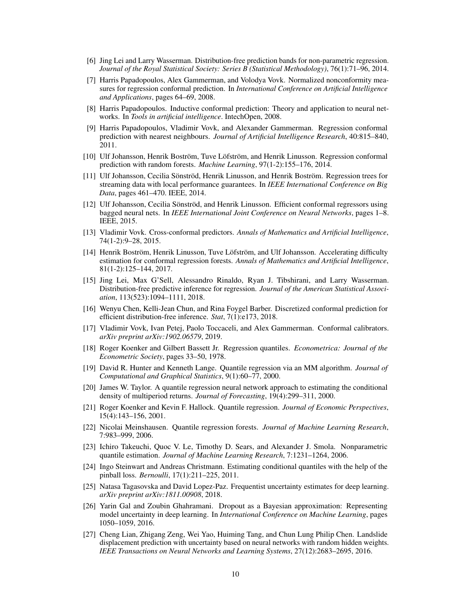- [6] Jing Lei and Larry Wasserman. Distribution-free prediction bands for non-parametric regression. *Journal of the Royal Statistical Society: Series B (Statistical Methodology)*, 76(1):71–96, 2014.
- [7] Harris Papadopoulos, Alex Gammerman, and Volodya Vovk. Normalized nonconformity measures for regression conformal prediction. In *International Conference on Artificial Intelligence and Applications*, pages 64–69, 2008.
- [8] Harris Papadopoulos. Inductive conformal prediction: Theory and application to neural networks. In *Tools in artificial intelligence*. IntechOpen, 2008.
- [9] Harris Papadopoulos, Vladimir Vovk, and Alexander Gammerman. Regression conformal prediction with nearest neighbours. *Journal of Artificial Intelligence Research*, 40:815–840, 2011.
- [10] Ulf Johansson, Henrik Boström, Tuve Löfström, and Henrik Linusson. Regression conformal prediction with random forests. *Machine Learning*, 97(1-2):155–176, 2014.
- [11] Ulf Johansson, Cecilia Sönströd, Henrik Linusson, and Henrik Boström. Regression trees for streaming data with local performance guarantees. In *IEEE International Conference on Big Data*, pages 461–470. IEEE, 2014.
- [12] Ulf Johansson, Cecilia Sönströd, and Henrik Linusson. Efficient conformal regressors using bagged neural nets. In *IEEE International Joint Conference on Neural Networks*, pages 1–8. IEEE, 2015.
- [13] Vladimir Vovk. Cross-conformal predictors. *Annals of Mathematics and Artificial Intelligence*, 74(1-2):9–28, 2015.
- [14] Henrik Boström, Henrik Linusson, Tuve Löfström, and Ulf Johansson. Accelerating difficulty estimation for conformal regression forests. *Annals of Mathematics and Artificial Intelligence*, 81(1-2):125–144, 2017.
- [15] Jing Lei, Max G'Sell, Alessandro Rinaldo, Ryan J. Tibshirani, and Larry Wasserman. Distribution-free predictive inference for regression. *Journal of the American Statistical Association*, 113(523):1094–1111, 2018.
- [16] Wenyu Chen, Kelli-Jean Chun, and Rina Foygel Barber. Discretized conformal prediction for efficient distribution-free inference. *Stat*, 7(1):e173, 2018.
- [17] Vladimir Vovk, Ivan Petej, Paolo Toccaceli, and Alex Gammerman. Conformal calibrators. *arXiv preprint arXiv:1902.06579*, 2019.
- [18] Roger Koenker and Gilbert Bassett Jr. Regression quantiles. *Econometrica: Journal of the Econometric Society*, pages 33–50, 1978.
- [19] David R. Hunter and Kenneth Lange. Quantile regression via an MM algorithm. *Journal of Computational and Graphical Statistics*, 9(1):60–77, 2000.
- [20] James W. Taylor. A quantile regression neural network approach to estimating the conditional density of multiperiod returns. *Journal of Forecasting*, 19(4):299–311, 2000.
- [21] Roger Koenker and Kevin F. Hallock. Quantile regression. *Journal of Economic Perspectives*, 15(4):143–156, 2001.
- [22] Nicolai Meinshausen. Quantile regression forests. *Journal of Machine Learning Research*, 7:983–999, 2006.
- [23] Ichiro Takeuchi, Quoc V. Le, Timothy D. Sears, and Alexander J. Smola. Nonparametric quantile estimation. *Journal of Machine Learning Research*, 7:1231–1264, 2006.
- [24] Ingo Steinwart and Andreas Christmann. Estimating conditional quantiles with the help of the pinball loss. *Bernoulli*, 17(1):211–225, 2011.
- [25] Natasa Tagasovska and David Lopez-Paz. Frequentist uncertainty estimates for deep learning. *arXiv preprint arXiv:1811.00908*, 2018.
- [26] Yarin Gal and Zoubin Ghahramani. Dropout as a Bayesian approximation: Representing model uncertainty in deep learning. In *International Conference on Machine Learning*, pages 1050–1059, 2016.
- [27] Cheng Lian, Zhigang Zeng, Wei Yao, Huiming Tang, and Chun Lung Philip Chen. Landslide displacement prediction with uncertainty based on neural networks with random hidden weights. *IEEE Transactions on Neural Networks and Learning Systems*, 27(12):2683–2695, 2016.